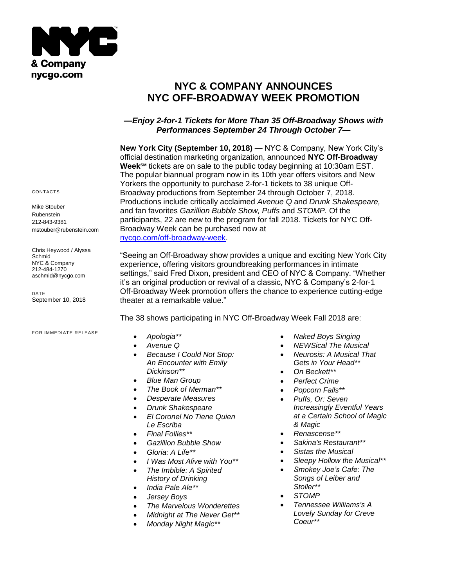

# **NYC & COMPANY ANNOUNCES NYC OFF-BROADWAY WEEK PROMOTION**

## *—Enjoy 2-for-1 Tickets for More Than 35 Off-Broadway Shows with Performances September 24 Through October 7—*

**New York City (September 10, 2018)** — NYC & Company, New York City's official destination marketing organization, announced **NYC Off-Broadway WeekSM** tickets are on sale to the public today beginning at 10:30am EST. The popular biannual program now in its 10th year offers visitors and New Yorkers the opportunity to purchase 2-for-1 tickets to 38 unique Off-Broadway productions from September 24 through October 7, 2018. Productions include critically acclaimed *Avenue Q* and *Drunk Shakespeare,*  and fan favorites *Gazillion Bubble Show, Puffs* and *STOMP.* Of the participants, 22 are new to the program for fall 2018. Tickets for NYC Off-Broadway Week can be purchased now at [nycgo.com/off-broadway-week.](http://www.nycgo.com/offbroadwayweek)

"Seeing an Off-Broadway show provides a unique and exciting New York City experience, offering visitors groundbreaking performances in intimate settings," said Fred Dixon, president and CEO of NYC & Company. "Whether it's an original production or revival of a classic, NYC & Company's 2-for-1 Off-Broadway Week promotion offers the chance to experience cutting-edge theater at a remarkable value."

The 38 shows participating in NYC Off-Broadway Week Fall 2018 are:

- *Apologia\*\**
- *Avenue Q*
- *Because I Could Not Stop: An Encounter with Emily Dickinson\*\**
- *Blue Man Group*
- *The Book of Merman\*\**
- *Desperate Measures*
- *Drunk Shakespeare*
- *El Coronel No Tiene Quien Le Escriba*
- *Final Follies\*\**
- *Gazillion Bubble Show*
- *Gloria: A Life\*\**
- *I Was Most Alive with You\*\**
- *The Imbible: A Spirited History of Drinking*
- *India Pale Ale\*\**
- *Jersey Boys*
- *The Marvelous Wonderettes*
- *Midnight at The Never Get\*\**
- *Monday Night Magic\*\**
- *Naked Boys Singing*
- *NEWSical The Musical*
- *Neurosis: A Musical That Gets in Your Head\*\**
- *On Beckett\*\**
- *Perfect Crime*
- *Popcorn Falls\*\**
- *Puffs, Or: Seven Increasingly Eventful Years at a Certain School of Magic & Magic*
- *Renascense\*\**
- *Sakina's Restaurant\*\**
- *Sistas the Musical*
- *Sleepy Hollow the Musical\*\**
- *Smokey Joe's Cafe: The Songs of Leiber and Stoller\*\**
- *STOMP*
- *Tennessee Williams's A Lovely Sunday for Creve Coeur\*\**

#### CONTACTS

Mike Stouber Rubenstein 212-843-9381 mstouber@rubenstein.com

Chris Heywood / Alyssa Schmid NYC & Company 212-484-1270 aschmid@nycgo.com

DATE September 10, 2018

### FOR IMMEDIATE RELEASE